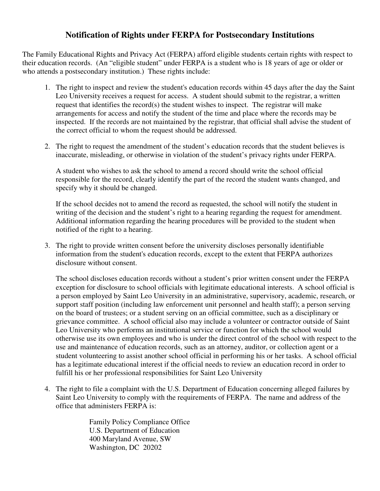## **Notification of Rights under FERPA for Postsecondary Institutions**

The Family Educational Rights and Privacy Act (FERPA) afford eligible students certain rights with respect to their education records. (An "eligible student" under FERPA is a student who is 18 years of age or older or who attends a postsecondary institution.) These rights include:

- 1. The right to inspect and review the student's education records within 45 days after the day the Saint Leo University receives a request for access. A student should submit to the registrar, a written request that identifies the record(s) the student wishes to inspect. The registrar will make arrangements for access and notify the student of the time and place where the records may be inspected. If the records are not maintained by the registrar, that official shall advise the student of the correct official to whom the request should be addressed.
- 2. The right to request the amendment of the student's education records that the student believes is inaccurate, misleading, or otherwise in violation of the student's privacy rights under FERPA.

A student who wishes to ask the school to amend a record should write the school official responsible for the record, clearly identify the part of the record the student wants changed, and specify why it should be changed.

If the school decides not to amend the record as requested, the school will notify the student in writing of the decision and the student's right to a hearing regarding the request for amendment. Additional information regarding the hearing procedures will be provided to the student when notified of the right to a hearing.

3. The right to provide written consent before the university discloses personally identifiable information from the student's education records, except to the extent that FERPA authorizes disclosure without consent.

The school discloses education records without a student's prior written consent under the FERPA exception for disclosure to school officials with legitimate educational interests. A school official is a person employed by Saint Leo University in an administrative, supervisory, academic, research, or support staff position (including law enforcement unit personnel and health staff); a person serving on the board of trustees; or a student serving on an official committee, such as a disciplinary or grievance committee. A school official also may include a volunteer or contractor outside of Saint Leo University who performs an institutional service or function for which the school would otherwise use its own employees and who is under the direct control of the school with respect to the use and maintenance of education records, such as an attorney, auditor, or collection agent or a student volunteering to assist another school official in performing his or her tasks. A school official has a legitimate educational interest if the official needs to review an education record in order to fulfill his or her professional responsibilities for Saint Leo University

4. The right to file a complaint with the U.S. Department of Education concerning alleged failures by Saint Leo University to comply with the requirements of FERPA. The name and address of the office that administers FERPA is:

> Family Policy Compliance Office U.S. Department of Education 400 Maryland Avenue, SW Washington, DC 20202